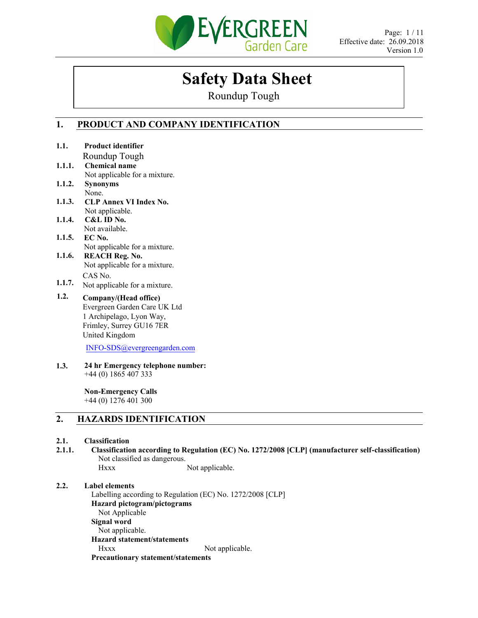

# **Safety Data Sheet**

Roundup Tough

## **1. PRODUCT AND COMPANY IDENTIFICATION**

| 1.1.             | <b>Product identifier</b>                                                                          |
|------------------|----------------------------------------------------------------------------------------------------|
|                  | Roundup Tough                                                                                      |
| 1.1.1.           | <b>Chemical name</b>                                                                               |
|                  | Not applicable for a mixture.                                                                      |
| 1.1.2.           | <b>Synonyms</b>                                                                                    |
|                  | None.                                                                                              |
| 1.1.3.           | <b>CLP Annex VI Index No.</b>                                                                      |
|                  | Not applicable.                                                                                    |
| 1.1.4.           | C&L ID No.                                                                                         |
|                  | Not available.                                                                                     |
| 1.1.5.           | EC No.                                                                                             |
|                  | Not applicable for a mixture.                                                                      |
| 1.1.6.           | <b>REACH Reg. No.</b>                                                                              |
|                  | Not applicable for a mixture.                                                                      |
|                  | CAS No.                                                                                            |
| 1.1.7.           | Not applicable for a mixture.                                                                      |
| 1.2.             | Company/(Head office)                                                                              |
|                  | Evergreen Garden Care UK Ltd                                                                       |
|                  | 1 Archipelago, Lyon Way,                                                                           |
|                  | Frimley, Surrey GU16 7ER                                                                           |
|                  | United Kingdom                                                                                     |
|                  | INFO-SDS@evergreengarden.com                                                                       |
|                  |                                                                                                    |
| 1.3.             | 24 hr Emergency telephone number:                                                                  |
|                  | $+44(0)$ 1865 407 333                                                                              |
|                  | <b>Non-Emergency Calls</b>                                                                         |
|                  | $+44(0)$ 1276 401 300                                                                              |
| $\overline{2}$ . | <b>HAZARDS IDENTIFICATION</b>                                                                      |
|                  |                                                                                                    |
| 2.1.             | <b>Classification</b>                                                                              |
| 2.1.1.           | Classification according to Regulation (EC) No. 1272/2008 [CLP] (manufacturer self-classification) |
|                  | Not classified as dangerous                                                                        |

Not classified as dangerous. Hxxx Not applicable.

## **2.2. Label elements**

Labelling according to Regulation (EC) No. 1272/2008 [CLP] **Hazard pictogram/pictograms**  Not Applicable **Signal word**  Not applicable. **Hazard statement/statements**  Hxxx Not applicable. **Precautionary statement/statements**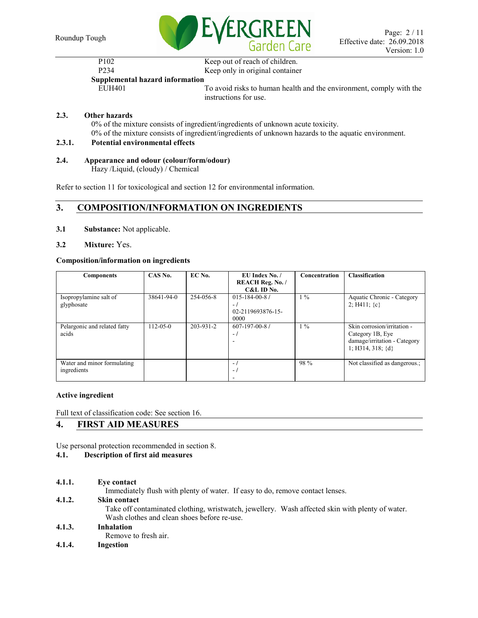

| P <sub>102</sub>                | Keep out of reach of children.                                      |
|---------------------------------|---------------------------------------------------------------------|
| P <sub>2</sub> 34               | Keep only in original container                                     |
| Supplemental hazard information |                                                                     |
| EUH401                          | To avoid risks to human health and the environment, comply with the |

instructions for use.

## **2.3. Other hazards**

0% of the mixture consists of ingredient/ingredients of unknown acute toxicity. 0% of the mixture consists of ingredient/ingredients of unknown hazards to the aquatic environment.

## **2.3.1. Potential environmental effects**

## **2.4. Appearance and odour (colour/form/odour)**

Hazy /Liquid, (cloudy) / Chemical

Refer to section 11 for toxicological and section 12 for environmental information.

## **3. COMPOSITION/INFORMATION ON INGREDIENTS**

- **3.1 Substance:** Not applicable.
- **3.2 Mixture:** Yes.

## **Composition/information on ingredients**

| <b>Components</b>                          | CAS No.        | EC No.    | EU Index No. /<br><b>REACH Reg. No. /</b><br>C&L ID No.    | <b>Concentration</b> | <b>Classification</b>                                                                                    |
|--------------------------------------------|----------------|-----------|------------------------------------------------------------|----------------------|----------------------------------------------------------------------------------------------------------|
| Isopropylamine salt of<br>glyphosate       | 38641-94-0     | 254-056-8 | $015 - 184 - 00 - 87$<br>$-1$<br>02-2119693876-15-<br>0000 | $1\%$                | Aquatic Chronic - Category<br>2; H411; $\{c\}$                                                           |
| Pelargonic and related fatty<br>acids      | $112 - 05 - 0$ | 203-931-2 | $607 - 197 - 00 - 8$ /<br>$-1$                             | $1\%$                | Skin corrosion/irritation -<br>Category 1B, Eye<br>damage/irritation - Category<br>1; H314, 318; $\{d\}$ |
| Water and minor formulating<br>ingredients |                |           | $\blacksquare$<br>$-1$                                     | 98 %                 | Not classified as dangerous.;                                                                            |

## **Active ingredient**

Full text of classification code: See section 16.

## **4. FIRST AID MEASURES**

Use personal protection recommended in section 8.

## **4.1. Description of first aid measures**

**4.1.1. Eye contact**

Immediately flush with plenty of water. If easy to do, remove contact lenses.

## **4.1.2. Skin contact**

Take off contaminated clothing, wristwatch, jewellery. Wash affected skin with plenty of water. Wash clothes and clean shoes before re-use.

## **4.1.3. Inhalation**

Remove to fresh air.

**4.1.4. Ingestion**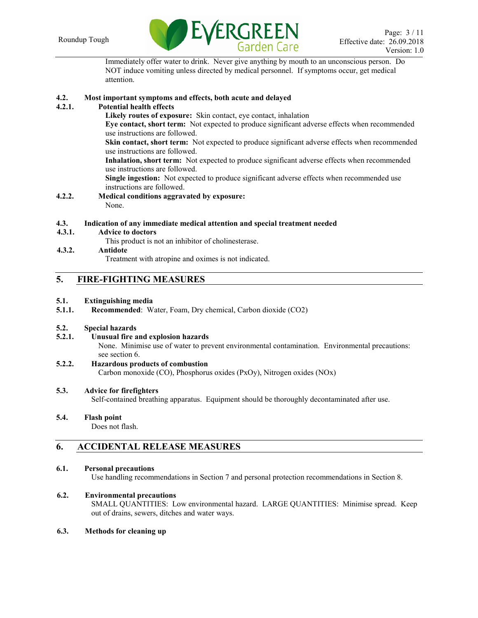

Immediately offer water to drink. Never give anything by mouth to an unconscious person. Do NOT induce vomiting unless directed by medical personnel. If symptoms occur, get medical attention.

## **4.2. Most important symptoms and effects, both acute and delayed**

## **4.2.1. Potential health effects**

**Likely routes of exposure:** Skin contact, eye contact, inhalation

**Eye contact, short term:** Not expected to produce significant adverse effects when recommended use instructions are followed.

**Skin contact, short term:** Not expected to produce significant adverse effects when recommended use instructions are followed.

**Inhalation, short term:** Not expected to produce significant adverse effects when recommended use instructions are followed.

**Single ingestion:** Not expected to produce significant adverse effects when recommended use instructions are followed.

**4.2.2. Medical conditions aggravated by exposure:**  None.

## **4.3. Indication of any immediate medical attention and special treatment needed**

**4.3.1. Advice to doctors**

This product is not an inhibitor of cholinesterase.

## **4.3.2. Antidote**

Treatment with atropine and oximes is not indicated.

## **5. FIRE-FIGHTING MEASURES**

## **5.1. Extinguishing media**

**5.1.1. Recommended**: Water, Foam, Dry chemical, Carbon dioxide (CO2)

## **5.2. Special hazards**

**5.2.1. Unusual fire and explosion hazards**

None. Minimise use of water to prevent environmental contamination. Environmental precautions: see section 6.

#### **5.2.2. Hazardous products of combustion** Carbon monoxide (CO), Phosphorus oxides (PxOy), Nitrogen oxides (NOx)

## **5.3. Advice for firefighters**

Self-contained breathing apparatus. Equipment should be thoroughly decontaminated after use.

## **5.4. Flash point**

Does not flash.

## **6. ACCIDENTAL RELEASE MEASURES**

## **6.1. Personal precautions**

Use handling recommendations in Section 7 and personal protection recommendations in Section 8.

## **6.2. Environmental precautions**

SMALL QUANTITIES: Low environmental hazard. LARGE QUANTITIES: Minimise spread. Keep out of drains, sewers, ditches and water ways.

## **6.3. Methods for cleaning up**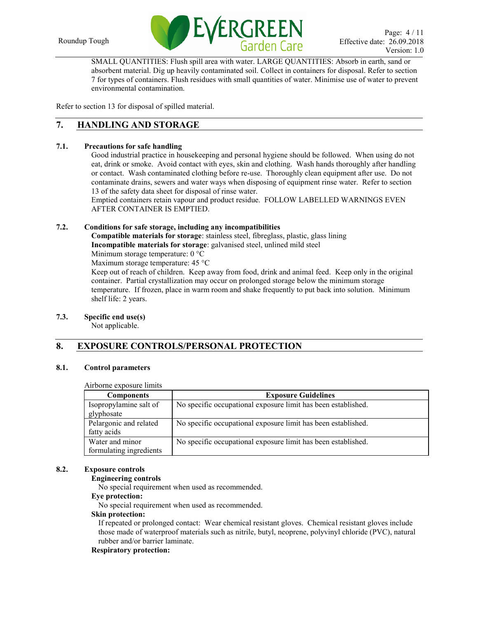

SMALL QUANTITIES: Flush spill area with water. LARGE QUANTITIES: Absorb in earth, sand or absorbent material. Dig up heavily contaminated soil. Collect in containers for disposal. Refer to section 7 for types of containers. Flush residues with small quantities of water. Minimise use of water to prevent environmental contamination.

Refer to section 13 for disposal of spilled material.

## **7. HANDLING AND STORAGE**

## **7.1. Precautions for safe handling**

Good industrial practice in housekeeping and personal hygiene should be followed. When using do not eat, drink or smoke. Avoid contact with eyes, skin and clothing. Wash hands thoroughly after handling or contact. Wash contaminated clothing before re-use. Thoroughly clean equipment after use. Do not contaminate drains, sewers and water ways when disposing of equipment rinse water. Refer to section 13 of the safety data sheet for disposal of rinse water.

Emptied containers retain vapour and product residue. FOLLOW LABELLED WARNINGS EVEN AFTER CONTAINER IS EMPTIED.

## **7.2. Conditions for safe storage, including any incompatibilities**

**Compatible materials for storage**: stainless steel, fibreglass, plastic, glass lining **Incompatible materials for storage**: galvanised steel, unlined mild steel

Minimum storage temperature: 0 °C

Maximum storage temperature: 45 °C

Keep out of reach of children. Keep away from food, drink and animal feed. Keep only in the original container. Partial crystallization may occur on prolonged storage below the minimum storage temperature. If frozen, place in warm room and shake frequently to put back into solution. Minimum shelf life: 2 years.

## **7.3. Specific end use(s)**

Not applicable.

## **8. EXPOSURE CONTROLS/PERSONAL PROTECTION**

#### **8.1. Control parameters**

#### Airborne exposure limits

| <b>Components</b>                          | <b>Exposure Guidelines</b>                                    |
|--------------------------------------------|---------------------------------------------------------------|
| Isopropylamine salt of<br>glyphosate       | No specific occupational exposure limit has been established. |
| Pelargonic and related<br>fatty acids      | No specific occupational exposure limit has been established. |
| Water and minor<br>formulating ingredients | No specific occupational exposure limit has been established. |

#### **8.2. Exposure controls**

#### **Engineering controls**

No special requirement when used as recommended.

## **Eye protection:**

No special requirement when used as recommended.

#### **Skin protection:**

If repeated or prolonged contact: Wear chemical resistant gloves. Chemical resistant gloves include those made of waterproof materials such as nitrile, butyl, neoprene, polyvinyl chloride (PVC), natural rubber and/or barrier laminate.

## **Respiratory protection:**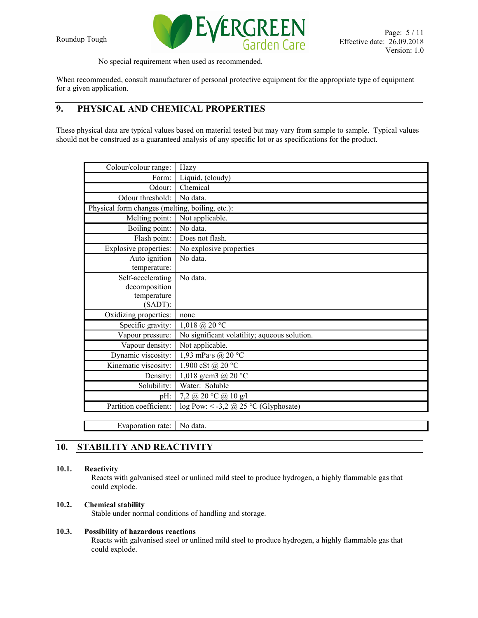

No special requirement when used as recommended.

When recommended, consult manufacturer of personal protective equipment for the appropriate type of equipment for a given application.

## **9. PHYSICAL AND CHEMICAL PROPERTIES**

These physical data are typical values based on material tested but may vary from sample to sample. Typical values should not be construed as a guaranteed analysis of any specific lot or as specifications for the product.

| Colour/colour range:                            | Hazy                                         |
|-------------------------------------------------|----------------------------------------------|
| Form:                                           | Liquid, (cloudy)                             |
| Odour:                                          | Chemical                                     |
| Odour threshold:                                | No data.                                     |
| Physical form changes (melting, boiling, etc.): |                                              |
| Melting point:                                  | Not applicable.                              |
| Boiling point:                                  | No data.                                     |
| Flash point:                                    | Does not flash.                              |
| Explosive properties:                           | No explosive properties                      |
| Auto ignition                                   | No data.                                     |
| temperature:                                    |                                              |
| Self-accelerating                               | No data.                                     |
| decomposition                                   |                                              |
| temperature                                     |                                              |
| $(SADT)$ :                                      |                                              |
| Oxidizing properties:                           | none                                         |
| Specific gravity:                               | $1,018 \text{ (}a\text{)}20 \text{ °C}$      |
| Vapour pressure:                                | No significant volatility; aqueous solution. |
| Vapour density:                                 | Not applicable.                              |
| Dynamic viscosity:                              | 1,93 mPa s @ 20 $\degree$ C                  |
| Kinematic viscosity:                            | 1.900 cSt @ 20 °C                            |
| Density:                                        | 1,018 g/cm3 @ $20 °C$                        |
| Solubility:                                     | Water: Soluble                               |
| pH:                                             | 7,2 @ 20 °C @ 10 g/l                         |
| Partition coefficient:                          | log Pow: < -3,2 @ 25 °C (Glyphosate)         |
|                                                 |                                              |
| Evaporation rate:                               | No data.                                     |

## **10. STABILITY AND REACTIVITY**

## **10.1. Reactivity**

Reacts with galvanised steel or unlined mild steel to produce hydrogen, a highly flammable gas that could explode.

## **10.2. Chemical stability**

Stable under normal conditions of handling and storage.

## **10.3. Possibility of hazardous reactions**

Reacts with galvanised steel or unlined mild steel to produce hydrogen, a highly flammable gas that could explode.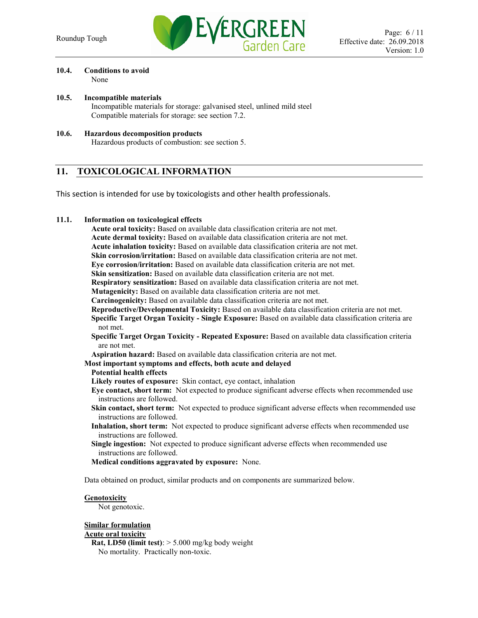

#### **10.4. Conditions to avoid** None

- **10.5. Incompatible materials** Incompatible materials for storage: galvanised steel, unlined mild steel Compatible materials for storage: see section 7.2.
- **10.6. Hazardous decomposition products** Hazardous products of combustion: see section 5.

## **11. TOXICOLOGICAL INFORMATION**

This section is intended for use by toxicologists and other health professionals.

## **11.1. Information on toxicological effects**

**Acute oral toxicity:** Based on available data classification criteria are not met. **Acute dermal toxicity:** Based on available data classification criteria are not met. **Acute inhalation toxicity:** Based on available data classification criteria are not met. **Skin corrosion/irritation:** Based on available data classification criteria are not met. **Eye corrosion/irritation:** Based on available data classification criteria are not met. **Skin sensitization:** Based on available data classification criteria are not met. **Respiratory sensitization:** Based on available data classification criteria are not met. **Mutagenicity:** Based on available data classification criteria are not met. **Carcinogenicity:** Based on available data classification criteria are not met. **Reproductive/Developmental Toxicity:** Based on available data classification criteria are not met. **Specific Target Organ Toxicity - Single Exposure:** Based on available data classification criteria are not met. **Specific Target Organ Toxicity - Repeated Exposure:** Based on available data classification criteria are not met. **Aspiration hazard:** Based on available data classification criteria are not met. **Most important symptoms and effects, both acute and delayed Potential health effects Likely routes of exposure:** Skin contact, eye contact, inhalation **Eye contact, short term:** Not expected to produce significant adverse effects when recommended use instructions are followed.

- **Skin contact, short term:** Not expected to produce significant adverse effects when recommended use instructions are followed.
- **Inhalation, short term:** Not expected to produce significant adverse effects when recommended use instructions are followed.
- **Single ingestion:** Not expected to produce significant adverse effects when recommended use instructions are followed.
- **Medical conditions aggravated by exposure:** None.

Data obtained on product, similar products and on components are summarized below.

#### **Genotoxicity**

Not genotoxic.

#### **Similar formulation**

#### **Acute oral toxicity**

**Rat, LD50 (limit test)**: > 5.000 mg/kg body weight No mortality. Practically non-toxic.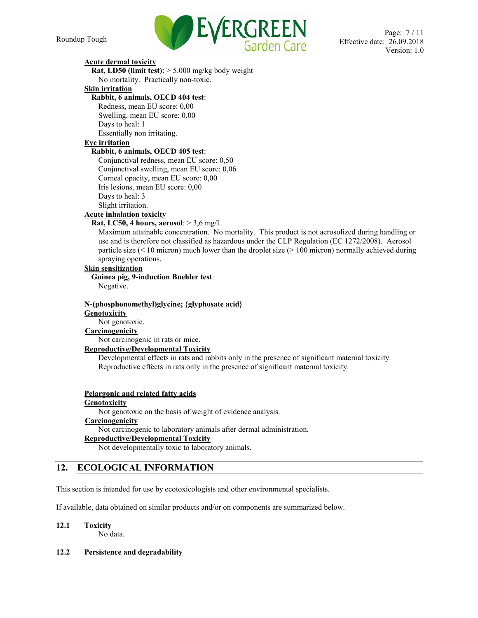

## **Acute dermal toxicity**

**Rat, LD50 (limit test)**: > 5.000 mg/kg body weight No mortality. Practically non-toxic.

## **Skin irritation**

**Rabbit, 6 animals, OECD 404 test**:

Redness, mean EU score: 0,00 Swelling, mean EU score: 0,00 Days to heal: 1 Essentially non irritating.

### **Eye irritation**

#### **Rabbit, 6 animals, OECD 405 test**:

Conjunctival redness, mean EU score: 0,50 Conjunctival swelling, mean EU score: 0,06 Corneal opacity, mean EU score: 0,00 Iris lesions, mean EU score: 0,00 Days to heal: 3 Slight irritation. **Acute inhalation toxicity**

## **Rat, LC50, 4 hours, aerosol**: > 3,6 mg/L

Maximum attainable concentration. No mortality. This product is not aerosolized during handling or use and is therefore not classified as hazardous under the CLP Regulation (EC 1272/2008). Aerosol particle size (< 10 micron) much lower than the droplet size (> 100 micron) normally achieved during spraying operations.

## **Skin sensitization**

**Guinea pig, 9-induction Buehler test**: Negative.

## **N-(phosphonomethyl)glycine; {glyphosate acid} Genotoxicity**

Not genotoxic.

## **Carcinogenicity**

Not carcinogenic in rats or mice.

#### **Reproductive/Developmental Toxicity**

Developmental effects in rats and rabbits only in the presence of significant maternal toxicity. Reproductive effects in rats only in the presence of significant maternal toxicity.

#### **Pelargonic and related fatty acids**

#### **Genotoxicity**

Not genotoxic on the basis of weight of evidence analysis. **Carcinogenicity**

Not carcinogenic to laboratory animals after dermal administration.

## **Reproductive/Developmental Toxicity**

Not developmentally toxic to laboratory animals.

## **12. ECOLOGICAL INFORMATION**

This section is intended for use by ecotoxicologists and other environmental specialists.

If available, data obtained on similar products and/or on components are summarized below.

## **12.1 Toxicity**

No data.

## **12.2 Persistence and degradability**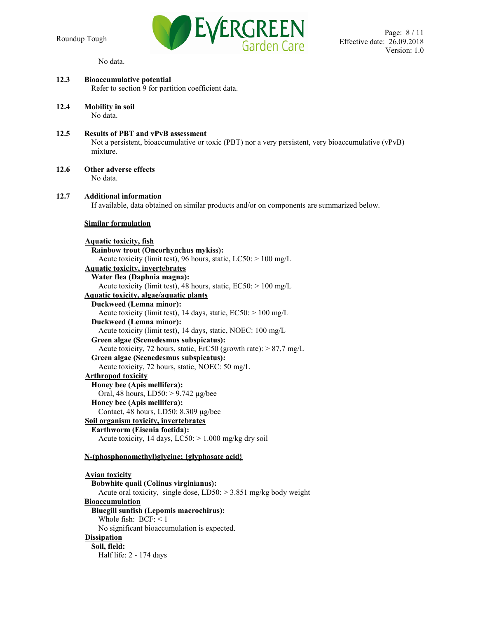

No data.

| 12.3 | <b>Bioaccumulative potential</b><br>Refer to section 9 for partition coefficient data.                                                                                                                                                                                                                                                                                                                                                                                                                                                                                                                                                                                                                                                                                                                                                                                                                                                                                        |
|------|-------------------------------------------------------------------------------------------------------------------------------------------------------------------------------------------------------------------------------------------------------------------------------------------------------------------------------------------------------------------------------------------------------------------------------------------------------------------------------------------------------------------------------------------------------------------------------------------------------------------------------------------------------------------------------------------------------------------------------------------------------------------------------------------------------------------------------------------------------------------------------------------------------------------------------------------------------------------------------|
| 12.4 | <b>Mobility</b> in soil<br>No data.                                                                                                                                                                                                                                                                                                                                                                                                                                                                                                                                                                                                                                                                                                                                                                                                                                                                                                                                           |
| 12.5 | <b>Results of PBT and vPvB assessment</b><br>Not a persistent, bioaccumulative or toxic (PBT) nor a very persistent, very bioaccumulative (vPvB)<br>mixture.                                                                                                                                                                                                                                                                                                                                                                                                                                                                                                                                                                                                                                                                                                                                                                                                                  |
| 12.6 | Other adverse effects<br>No data.                                                                                                                                                                                                                                                                                                                                                                                                                                                                                                                                                                                                                                                                                                                                                                                                                                                                                                                                             |
| 12.7 | <b>Additional information</b><br>If available, data obtained on similar products and/or on components are summarized below.                                                                                                                                                                                                                                                                                                                                                                                                                                                                                                                                                                                                                                                                                                                                                                                                                                                   |
|      | <b>Similar formulation</b>                                                                                                                                                                                                                                                                                                                                                                                                                                                                                                                                                                                                                                                                                                                                                                                                                                                                                                                                                    |
|      | <b>Aquatic toxicity, fish</b><br>Rainbow trout (Oncorhynchus mykiss):<br>Acute toxicity (limit test), 96 hours, static, $LC50$ : $> 100$ mg/L<br><b>Aquatic toxicity, invertebrates</b><br>Water flea (Daphnia magna):<br>Acute toxicity (limit test), 48 hours, static, $EC50$ : $> 100$ mg/L<br>Aquatic toxicity, algae/aquatic plants<br><b>Duckweed (Lemna minor):</b><br>Acute toxicity (limit test), 14 days, static, EC50: > 100 mg/L<br>Duckweed (Lemna minor):<br>Acute toxicity (limit test), 14 days, static, NOEC: 100 mg/L<br>Green algae (Scenedesmus subspicatus):<br>Acute toxicity, 72 hours, static, ErC50 (growth rate): $> 87.7$ mg/L<br>Green algae (Scenedesmus subspicatus):<br>Acute toxicity, 72 hours, static, NOEC: 50 mg/L<br><b>Arthropod toxicity</b><br>Honey bee (Apis mellifera):<br>Oral, 48 hours, $LD50:$ > 9.742 µg/bee<br>Honey bee (Apis mellifera):<br>Contact, 48 hours, LD50: 8.309 µg/bee<br>Soil organism toxicity, invertebrates |
|      | Earthworm (Eisenia foetida):                                                                                                                                                                                                                                                                                                                                                                                                                                                                                                                                                                                                                                                                                                                                                                                                                                                                                                                                                  |
|      | Acute toxicity, 14 days, $LC50$ : > 1.000 mg/kg dry soil                                                                                                                                                                                                                                                                                                                                                                                                                                                                                                                                                                                                                                                                                                                                                                                                                                                                                                                      |
|      | N-(phosphonomethyl)glycine; {glyphosate acid}                                                                                                                                                                                                                                                                                                                                                                                                                                                                                                                                                                                                                                                                                                                                                                                                                                                                                                                                 |
|      | <b>Avian toxicity</b><br>Bobwhite quail (Colinus virginianus):<br>Acute oral toxicity, single dose, $LD50$ : > 3.851 mg/kg body weight<br><b>Bioaccumulation</b><br><b>Bluegill sunfish (Lepomis macrochirus):</b>                                                                                                                                                                                                                                                                                                                                                                                                                                                                                                                                                                                                                                                                                                                                                            |
|      | Whole fish: $BCF: < 1$<br>No significant bioaccumulation is expected.                                                                                                                                                                                                                                                                                                                                                                                                                                                                                                                                                                                                                                                                                                                                                                                                                                                                                                         |
|      | <b>Dissipation</b><br>Soil, field:<br>Half life: 2 - 174 days                                                                                                                                                                                                                                                                                                                                                                                                                                                                                                                                                                                                                                                                                                                                                                                                                                                                                                                 |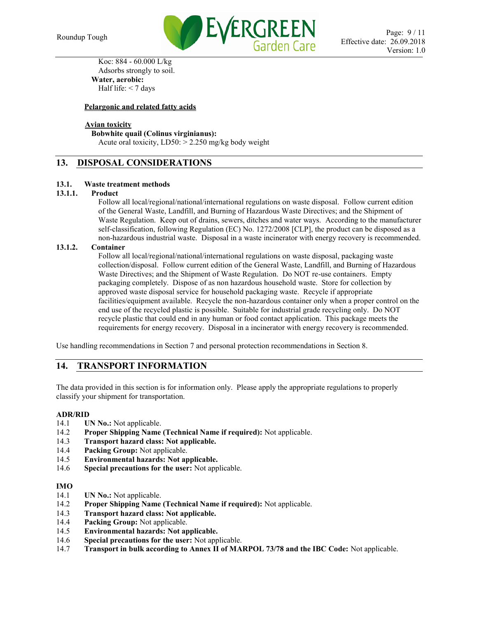

Koc: 884 - 60.000 L/kg Adsorbs strongly to soil. **Water, aerobic:** Half life:  $<$  7 days

## **Pelargonic and related fatty acids**

## **Avian toxicity**

## **Bobwhite quail (Colinus virginianus):**

Acute oral toxicity,  $LD50: > 2.250$  mg/kg body weight

## **13. DISPOSAL CONSIDERATIONS**

## **13.1. Waste treatment methods**

## **13.1.1. Product**

Follow all local/regional/national/international regulations on waste disposal. Follow current edition of the General Waste, Landfill, and Burning of Hazardous Waste Directives; and the Shipment of Waste Regulation. Keep out of drains, sewers, ditches and water ways. According to the manufacturer self-classification, following Regulation (EC) No. 1272/2008 [CLP], the product can be disposed as a non-hazardous industrial waste. Disposal in a waste incinerator with energy recovery is recommended.

## **13.1.2. Container**

Follow all local/regional/national/international regulations on waste disposal, packaging waste collection/disposal. Follow current edition of the General Waste, Landfill, and Burning of Hazardous Waste Directives; and the Shipment of Waste Regulation. Do NOT re-use containers. Empty packaging completely. Dispose of as non hazardous household waste. Store for collection by approved waste disposal service for household packaging waste. Recycle if appropriate facilities/equipment available. Recycle the non-hazardous container only when a proper control on the end use of the recycled plastic is possible. Suitable for industrial grade recycling only. Do NOT recycle plastic that could end in any human or food contact application. This package meets the requirements for energy recovery. Disposal in a incinerator with energy recovery is recommended.

Use handling recommendations in Section 7 and personal protection recommendations in Section 8.

## **14. TRANSPORT INFORMATION**

The data provided in this section is for information only. Please apply the appropriate regulations to properly classify your shipment for transportation.

## **ADR/RID**

- 14.1 **UN No.:** Not applicable.
- 14.2 **Proper Shipping Name (Technical Name if required):** Not applicable.
- 14.3 **Transport hazard class: Not applicable.**
- 14.4 **Packing Group:** Not applicable.
- 14.5 **Environmental hazards: Not applicable.**
- 14.6 **Special precautions for the user:** Not applicable.

#### **IMO**

- 14.1 **UN No.:** Not applicable.
- 14.2 **Proper Shipping Name (Technical Name if required):** Not applicable.
- 14.3 **Transport hazard class: Not applicable.**
- 14.4 **Packing Group:** Not applicable.
- 14.5 **Environmental hazards: Not applicable.**
- 14.6 **Special precautions for the user:** Not applicable.
- 14.7 **Transport in bulk according to Annex II of MARPOL 73/78 and the IBC Code:** Not applicable.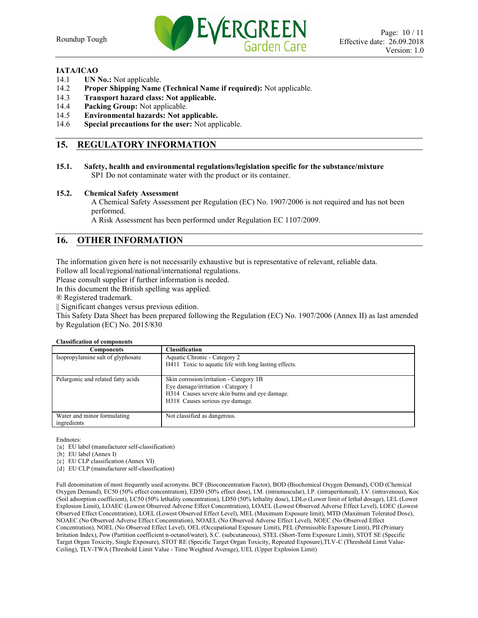

#### **IATA/ICAO**

- 14.1 **UN No.:** Not applicable.
- 14.2 **Proper Shipping Name (Technical Name if required):** Not applicable.
- 14.3 **Transport hazard class: Not applicable.**
- 14.4 **Packing Group:** Not applicable.
- 14.5 **Environmental hazards: Not applicable.**
- 14.6 **Special precautions for the user:** Not applicable.

## **15. REGULATORY INFORMATION**

**15.1. Safety, health and environmental regulations/legislation specific for the substance/mixture** SP1 Do not contaminate water with the product or its container.

#### **15.2. Chemical Safety Assessment**

A Chemical Safety Assessment per Regulation (EC) No. 1907/2006 is not required and has not been performed.

A Risk Assessment has been performed under Regulation EC 1107/2009.

## **16. OTHER INFORMATION**

The information given here is not necessarily exhaustive but is representative of relevant, reliable data.

Follow all local/regional/national/international regulations.

Please consult supplier if further information is needed.

In this document the British spelling was applied.

® Registered trademark.

|| Significant changes versus previous edition.

This Safety Data Sheet has been prepared following the Regulation (EC) No. 1907/2006 (Annex II) as last amended by Regulation (EC) No. 2015/830

#### **Classification of components**

| Components                                 | Classification                                                                                                                                                    |
|--------------------------------------------|-------------------------------------------------------------------------------------------------------------------------------------------------------------------|
| Isopropylamine salt of glyphosate          | Aquatic Chronic - Category 2<br>H411 Toxic to aquatic life with long lasting effects.                                                                             |
|                                            |                                                                                                                                                                   |
| Pelargonic and related fatty acids         | Skin corrosion/irritation - Category 1B<br>Eye damage/irritation - Category 1<br>H314 Causes severe skin burns and eve damage.<br>H318 Causes serious eye damage. |
| Water and minor formulating<br>ingredients | Not classified as dangerous.                                                                                                                                      |

Endnotes:

{a} EU label (manufacturer self-classification)

{b} EU label (Annex I)

{c} EU CLP classification (Annex VI)

{d} EU CLP (manufacturer self-classification)

Full denomination of most frequently used acronyms. BCF (Bioconcentration Factor), BOD (Biochemical Oxygen Demand), COD (Chemical Oxygen Demand), EC50 (50% effect concentration), ED50 (50% effect dose), I.M. (intramuscular), I.P. (intraperitoneal), I.V. (intravenous), Koc (Soil adsorption coefficient), LC50 (50% lethality concentration), LD50 (50% lethality dose), LDLo (Lower limit of lethal dosage), LEL (Lower Explosion Limit), LOAEC (Lowest Observed Adverse Effect Concentration), LOAEL (Lowest Observed Adverse Effect Level), LOEC (Lowest Observed Effect Concentration), LOEL (Lowest Observed Effect Level), MEL (Maximum Exposure limit), MTD (Maximum Tolerated Dose), NOAEC (No Observed Adverse Effect Concentration), NOAEL (No Observed Adverse Effect Level), NOEC (No Observed Effect Concentration), NOEL (No Observed Effect Level), OEL (Occupational Exposure Limit), PEL (Permissible Exposure Limit), PII (Primary Irritation Index), Pow (Partition coefficient n-octanol/water), S.C. (subcutaneous), STEL (Short-Term Exposure Limit), STOT SE (Specific Target Organ Toxicity, Single Exposure), STOT RE (Specific Target Organ Toxicity, Repeated Exposure),TLV-C (Threshold Limit Value-Ceiling), TLV-TWA (Threshold Limit Value - Time Weighted Average), UEL (Upper Explosion Limit)